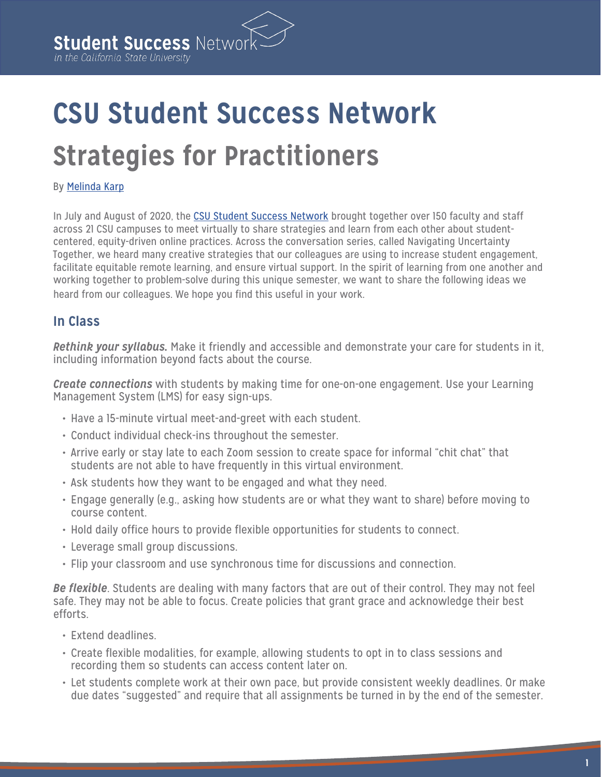# **CSU Student Success Network Strategies for Practitioners**

#### By [Melinda Karp](https://edinsightscenter.org/about/melinda-karp/)

In July and August of 2020, the [CSU Student Success Network](http://csustudentsuccess.net/) brought together over 150 faculty and staff across 21 CSU campuses to meet virtually to share strategies and learn from each other about studentcentered, equity-driven online practices. Across the conversation series, called Navigating Uncertainty Together, we heard many creative strategies that our colleagues are using to increase student engagement, facilitate equitable remote learning, and ensure virtual support. In the spirit of learning from one another and working together to problem-solve during this unique semester, we want to share the following ideas we heard from our colleagues. We hope you find this useful in your work.

# **In Class**

*Rethink your syllabus.* Make it friendly and accessible and demonstrate your care for students in it, including information beyond facts about the course.

*Create connections* with students by making time for one-on-one engagement. Use your Learning Management System (LMS) for easy sign-ups.

- Have a 15-minute virtual meet-and-greet with each student.
- Conduct individual check-ins throughout the semester.
- Arrive early or stay late to each Zoom session to create space for informal "chit chat" that students are not able to have frequently in this virtual environment.
- Ask students how they want to be engaged and what they need.
- Engage generally (e.g., asking how students are or what they want to share) before moving to course content.
- Hold daily office hours to provide flexible opportunities for students to connect.
- Leverage small group discussions.
- Flip your classroom and use synchronous time for discussions and connection.

*Be flexible*. Students are dealing with many factors that are out of their control. They may not feel safe. They may not be able to focus. Create policies that grant grace and acknowledge their best efforts.

- Extend deadlines.
- Create flexible modalities, for example, allowing students to opt in to class sessions and recording them so students can access content later on.
- Let students complete work at their own pace, but provide consistent weekly deadlines. Or make due dates "suggested" and require that all assignments be turned in by the end of the semester.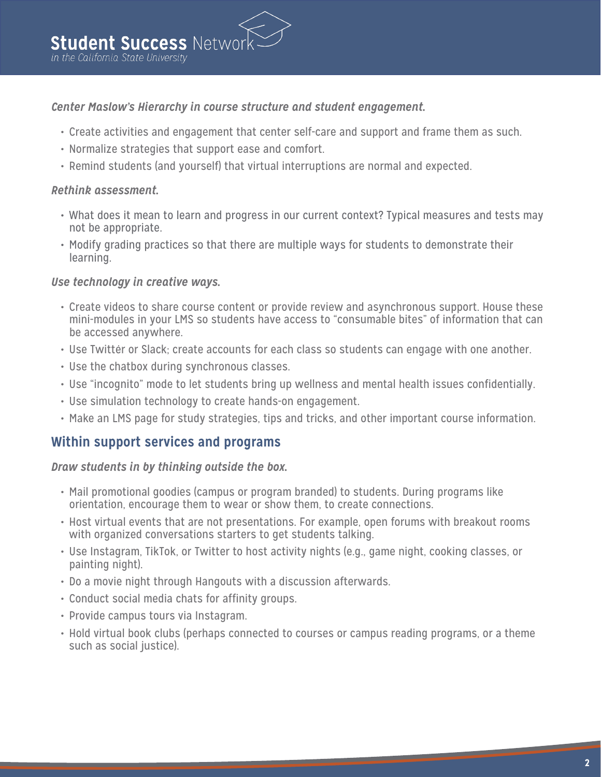# *Center Maslow's Hierarchy in course structure and student engagement.*

- Create activities and engagement that center self-care and support and frame them as such.
- Normalize strategies that support ease and comfort.
- Remind students (and yourself) that virtual interruptions are normal and expected.

## *Rethink assessment.*

- What does it mean to learn and progress in our current context? Typical measures and tests may not be appropriate.
- Modify grading practices so that there are multiple ways for students to demonstrate their learning.

## *Use technology in creative ways.*

- Create videos to share course content or provide review and asynchronous support. House these mini-modules in your LMS so students have access to "consumable bites" of information that can be accessed anywhere.
- Use Twitter or Slack; create accounts for each class so students can engage with one another.
- Use the chatbox during synchronous classes.
- Use "incognito" mode to let students bring up wellness and mental health issues confidentially.
- Use simulation technology to create hands-on engagement.
- Make an LMS page for study strategies, tips and tricks, and other important course information.

# **Within support services and programs**

#### *Draw students in by thinking outside the box.*

- Mail promotional goodies (campus or program branded) to students. During programs like orientation, encourage them to wear or show them, to create connections.
- Host virtual events that are not presentations. For example, open forums with breakout rooms with organized conversations starters to get students talking.
- Use Instagram, TikTok, or Twitter to host activity nights (e.g., game night, cooking classes, or painting night).
- Do a movie night through Hangouts with a discussion afterwards.
- Conduct social media chats for affinity groups.
- Provide campus tours via Instagram.
- Hold virtual book clubs (perhaps connected to courses or campus reading programs, or a theme such as social justice).